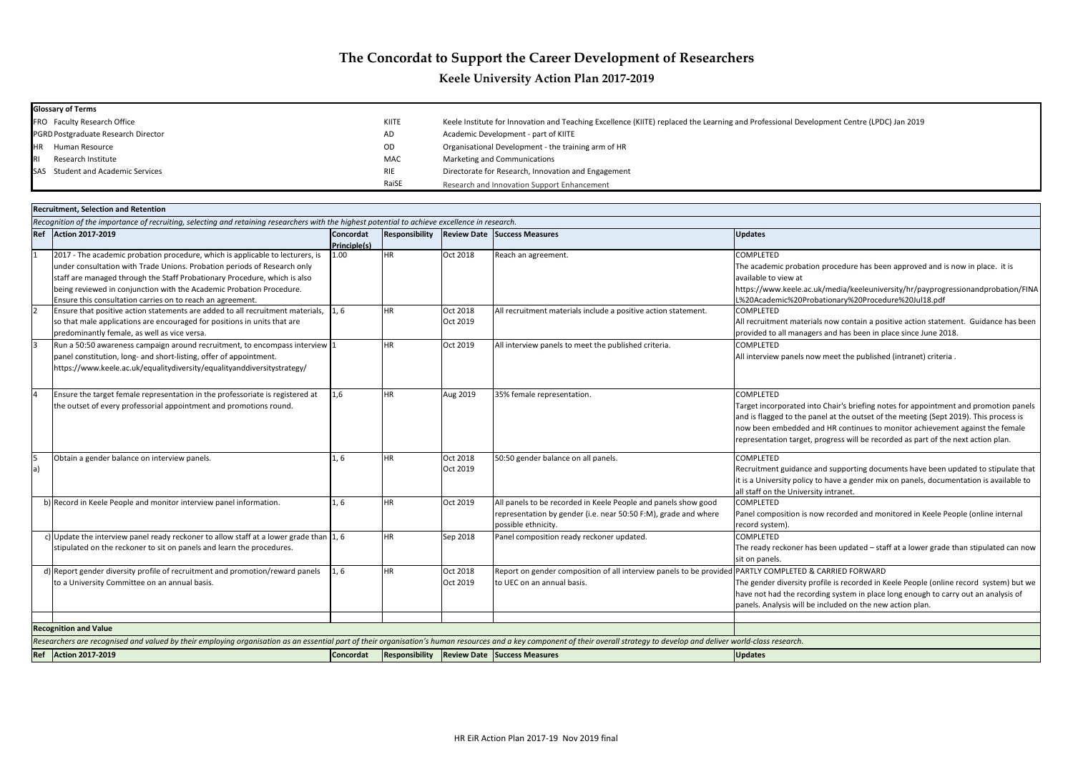| <b>Glossary of Terms</b>            |            |                                                                                                            |
|-------------------------------------|------------|------------------------------------------------------------------------------------------------------------|
| <b>FRO</b> Faculty Research Office  | KIITE      | Keele Institute for Innovation and Teaching Excellence (KIITE) replaced the Learning and Professional Deve |
| PGRD Postgraduate Research Director | AD         | Academic Development - part of KIITE                                                                       |
| <b>IHR</b><br>Human Resource        | <b>OD</b>  | Organisational Development - the training arm of HR                                                        |
| <b>IRI</b><br>Research Institute    | <b>MAC</b> | Marketing and Communications                                                                               |
| SAS Student and Academic Services   | <b>RIE</b> | Directorate for Research, Innovation and Engagement                                                        |
|                                     | RaiSE      | Research and Innovation Support Enhancement                                                                |

.uk/media/keeleuniversity/hr/payprogressionandprobation/FINA L%20Academic%20Probationary%20Procedure%20Jul18.pdf

rials now contain a positive action statement. Guidance has been gers and has been in place since June 2018.

into Chair's briefing notes for appointment and promotion panels panel at the outset of the meeting (Sept 2019). This process is and HR continues to monitor achievement against the female repress will be recorded as part of the next action plan.

e and supporting documents have been updated to stipulate that If is a University on panels, documentation is available to in rsity intranet.

now recorded and monitored in Keele People (online internal

as been updated – staff at a lower grade than stipulated can now

## **& CARRIED FORWARD**

profile is recorded in Keele People (online record system) but we ording system in place long enough to carry out an analysis of pe included on the new action plan.

|    | <b>Recruitment, Selection and Retention</b>                                                                                                                                                                                                                                                                                                                                  |                           |           |                      |                                                                                                                                                          |                                                                                                                                                                                                                                                                                                                                             |
|----|------------------------------------------------------------------------------------------------------------------------------------------------------------------------------------------------------------------------------------------------------------------------------------------------------------------------------------------------------------------------------|---------------------------|-----------|----------------------|----------------------------------------------------------------------------------------------------------------------------------------------------------|---------------------------------------------------------------------------------------------------------------------------------------------------------------------------------------------------------------------------------------------------------------------------------------------------------------------------------------------|
|    | Recognition of the importance of recruiting, selecting and retaining researchers with the highest potential to achieve excellence in research.                                                                                                                                                                                                                               |                           |           |                      |                                                                                                                                                          |                                                                                                                                                                                                                                                                                                                                             |
|    | Ref Action 2017-2019                                                                                                                                                                                                                                                                                                                                                         | Concordat<br>Principle(s) |           |                      | <b>Responsibility Review Date Success Measures</b>                                                                                                       | <b>Updates</b>                                                                                                                                                                                                                                                                                                                              |
|    | 2017 - The academic probation procedure, which is applicable to lecturers, is<br>under consultation with Trade Unions. Probation periods of Research only<br>staff are managed through the Staff Probationary Procedure, which is also<br>being reviewed in conjunction with the Academic Probation Procedure.<br>Ensure this consultation carries on to reach an agreement. | 1.00                      | <b>HR</b> | Oct 2018             | Reach an agreement.                                                                                                                                      | COMPLETED<br>The academic probation procedure has been approved and is now in place.<br>available to view at<br>https://www.keele.ac.uk/media/keeleuniversity/hr/payprogressionandprob<br>L%20Academic%20Probationary%20Procedure%20Jul18.pdf                                                                                               |
|    | Ensure that positive action statements are added to all recruitment materials, $\vert 1, 6 \rangle$<br>so that male applications are encouraged for positions in units that are<br>predominantly female, as well as vice versa.                                                                                                                                              |                           | <b>HR</b> | Oct 2018<br>Oct 2019 | All recruitment materials include a positive action statement.                                                                                           | COMPLETED<br>All recruitment materials now contain a positive action statement. Guidance<br>provided to all managers and has been in place since June 2018.                                                                                                                                                                                 |
|    | Run a 50:50 awareness campaign around recruitment, to encompass interview 1<br>panel constitution, long- and short-listing, offer of appointment.<br>https://www.keele.ac.uk/equalitydiversity/equalityanddiversitystrategy/                                                                                                                                                 |                           | <b>HR</b> | Oct 2019             | All interview panels to meet the published criteria.                                                                                                     | COMPLETED<br>All interview panels now meet the published (intranet) criteria.                                                                                                                                                                                                                                                               |
|    | Ensure the target female representation in the professoriate is registered at<br>the outset of every professorial appointment and promotions round.                                                                                                                                                                                                                          | 1,6                       | <b>HR</b> | Aug 2019             | 35% female representation.                                                                                                                               | <b>COMPLETED</b><br>Target incorporated into Chair's briefing notes for appointment and promot<br>and is flagged to the panel at the outset of the meeting (Sept 2019). This pro<br>now been embedded and HR continues to monitor achievement against the<br>representation target, progress will be recorded as part of the next action pl |
| a) | Obtain a gender balance on interview panels.                                                                                                                                                                                                                                                                                                                                 | 1,6                       | <b>HR</b> | Oct 2018<br>Oct 2019 | 50:50 gender balance on all panels.                                                                                                                      | <b>COMPLETED</b><br>Recruitment guidance and supporting documents have been updated to stip<br>it is a University policy to have a gender mix on panels, documentation is ava<br>all staff on the University intranet.                                                                                                                      |
|    | b) Record in Keele People and monitor interview panel information.                                                                                                                                                                                                                                                                                                           | 1, 6                      | <b>HR</b> | Oct 2019             | All panels to be recorded in Keele People and panels show good<br>representation by gender (i.e. near 50:50 F:M), grade and where<br>possible ethnicity. | COMPLETED<br>Panel composition is now recorded and monitored in Keele People (online ir<br>record system).                                                                                                                                                                                                                                  |
|    | c) Update the interview panel ready reckoner to allow staff at a lower grade than $\left 1, 6\right $<br>stipulated on the reckoner to sit on panels and learn the procedures.                                                                                                                                                                                               |                           | <b>HR</b> | Sep 2018             | Panel composition ready reckoner updated.                                                                                                                | COMPLETED<br>The ready reckoner has been updated - staff at a lower grade than stipulate<br>sit on panels.                                                                                                                                                                                                                                  |
|    | d) Report gender diversity profile of recruitment and promotion/reward panels<br>to a University Committee on an annual basis.                                                                                                                                                                                                                                               | 1, 6                      | <b>HR</b> | Oct 2018<br>Oct 2019 | Report on gender composition of all interview panels to be provided PARTLY COMPLETED & CARRIED FORWARD<br>to UEC on an annual basis.                     | The gender diversity profile is recorded in Keele People (online record syste<br>have not had the recording system in place long enough to carry out an anal<br>panels. Analysis will be included on the new action plan.                                                                                                                   |
|    | <b>Recognition and Value</b>                                                                                                                                                                                                                                                                                                                                                 |                           |           |                      |                                                                                                                                                          |                                                                                                                                                                                                                                                                                                                                             |
|    | Researchers are recognised and valued by their employing organisation as an essential part of their organisation's human resources and a key component of their overall strategy to develop and deliver world-class research.                                                                                                                                                |                           |           |                      |                                                                                                                                                          |                                                                                                                                                                                                                                                                                                                                             |
|    | Ref Action 2017-2019                                                                                                                                                                                                                                                                                                                                                         | <b>Concordat</b>          |           |                      | <b>Responsibility Review Date Success Measures</b>                                                                                                       | <b>Updates</b>                                                                                                                                                                                                                                                                                                                              |
|    |                                                                                                                                                                                                                                                                                                                                                                              |                           |           |                      |                                                                                                                                                          |                                                                                                                                                                                                                                                                                                                                             |

# **The Concordat to Support the Career Development of Researchers**

**Keele University Action Plan 2017-2019**

elopment Centre (LPDC) Jan 2019

tion procedure has been approved and is now in place. it is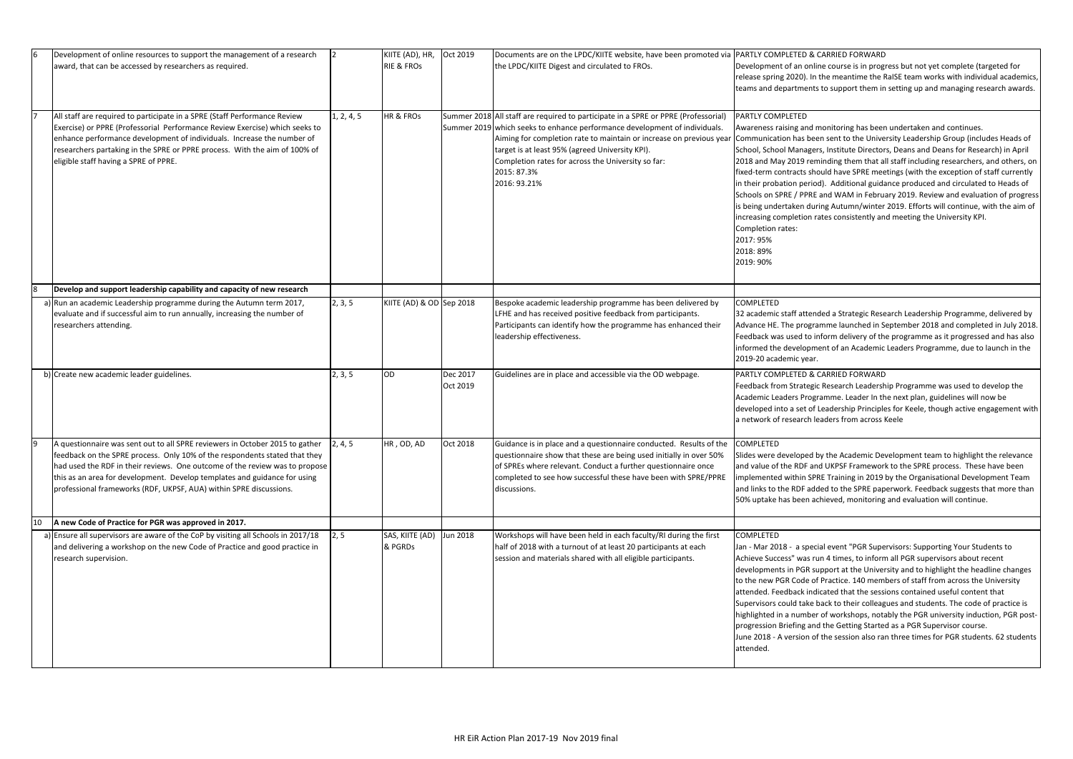| I6 | Development of online resources to support the management of a research<br>award, that can be accessed by researchers as required.                                                                                                                                                                                                                                                           |            | KIITE (AD), HR,<br><b>RIE &amp; FROS</b> | Oct 2019             | Documents are on the LPDC/KIITE website, have been promoted via<br>the LPDC/KIITE Digest and circulated to FROs.                                                                                                                                                                                                                                                                | PARTLY COMPLETED<br>Development of an o<br>release spring 2020).<br>teams and departme                                                                                                                                                                                                                |
|----|----------------------------------------------------------------------------------------------------------------------------------------------------------------------------------------------------------------------------------------------------------------------------------------------------------------------------------------------------------------------------------------------|------------|------------------------------------------|----------------------|---------------------------------------------------------------------------------------------------------------------------------------------------------------------------------------------------------------------------------------------------------------------------------------------------------------------------------------------------------------------------------|-------------------------------------------------------------------------------------------------------------------------------------------------------------------------------------------------------------------------------------------------------------------------------------------------------|
|    | All staff are required to participate in a SPRE (Staff Performance Review<br>Exercise) or PPRE (Professorial Performance Review Exercise) which seeks to<br>enhance performance development of individuals. Increase the number of<br>researchers partaking in the SPRE or PPRE process. With the aim of 100% of<br>eligible staff having a SPRE of PPRE.                                    | 1, 2, 4, 5 | <b>HR &amp; FROS</b>                     |                      | Summer 2018 All staff are required to participate in a SPRE or PPRE (Professorial)<br>Summer 2019 which seeks to enhance performance development of individuals.<br>Aiming for completion rate to maintain or increase on previous year<br>target is at least 95% (agreed University KPI).<br>Completion rates for across the University so far:<br>2015: 87.3%<br>2016: 93.21% | PARTLY COMPLETED<br>Awareness raising an<br>Communication has b<br>School, School Mana<br>2018 and May 2019 r<br>fixed-term contracts<br>in their probation per<br>Schools on SPRE / PP<br>is being undertaken o<br>increasing completior<br>Completion rates:<br>2017: 95%<br>2018: 89%<br>2019: 90% |
| 8  | Develop and support leadership capability and capacity of new research                                                                                                                                                                                                                                                                                                                       |            |                                          |                      |                                                                                                                                                                                                                                                                                                                                                                                 |                                                                                                                                                                                                                                                                                                       |
|    | a) Run an academic Leadership programme during the Autumn term 2017,<br>evaluate and if successful aim to run annually, increasing the number of<br>researchers attending.                                                                                                                                                                                                                   | 2, 3, 5    | KIITE (AD) & OD Sep 2018                 |                      | Bespoke academic leadership programme has been delivered by<br>LFHE and has received positive feedback from participants.<br>Participants can identify how the programme has enhanced their<br>leadership effectiveness.                                                                                                                                                        | COMPLETED<br>32 academic staff att<br>Advance HE. The pro<br>Feedback was used to<br>informed the develop<br>2019-20 academic ye                                                                                                                                                                      |
|    | b) Create new academic leader guidelines.                                                                                                                                                                                                                                                                                                                                                    | 2, 3, 5    | OD                                       | Dec 2017<br>Oct 2019 | Guidelines are in place and accessible via the OD webpage.                                                                                                                                                                                                                                                                                                                      | PARTLY COMPLETED<br><b>Feedback from Strate</b><br>Academic Leaders Pro<br>developed into a set<br>a network of researcl                                                                                                                                                                              |
| 9  | A questionnaire was sent out to all SPRE reviewers in October 2015 to gather<br>feedback on the SPRE process. Only 10% of the respondents stated that they<br>had used the RDF in their reviews. One outcome of the review was to propose<br>this as an area for development. Develop templates and guidance for using<br>professional frameworks (RDF, UKPSF, AUA) within SPRE discussions. | 2, 4, 5    | HR, OD, AD                               | Oct 2018             | Guidance is in place and a questionnaire conducted. Results of the<br>questionnaire show that these are being used initially in over 50%<br>of SPREs where relevant. Conduct a further questionnaire once<br>completed to see how successful these have been with SPRE/PPRE<br>discussions.                                                                                     | <b>COMPLETED</b><br>Slides were develope<br>and value of the RDF<br>implemented within :<br>and links to the RDF a<br>50% uptake has been                                                                                                                                                             |
| 10 | A new Code of Practice for PGR was approved in 2017.                                                                                                                                                                                                                                                                                                                                         |            |                                          |                      |                                                                                                                                                                                                                                                                                                                                                                                 |                                                                                                                                                                                                                                                                                                       |
|    | a) Ensure all supervisors are aware of the CoP by visiting all Schools in 2017/18<br>and delivering a workshop on the new Code of Practice and good practice in<br>research supervision.                                                                                                                                                                                                     | 2, 5       | SAS, KIITE (AD)<br>& PGRDs               | Jun 2018             | Workshops will have been held in each faculty/RI during the first<br>half of 2018 with a turnout of at least 20 participants at each<br>session and materials shared with all eligible participants.                                                                                                                                                                            | COMPLETED<br>Jan - Mar 2018 - a sp<br>Achieve Success" was<br>developments in PGR<br>to the new PGR Code<br>attended. Feedback i<br>Supervisors could tak<br>highlighted in a numl<br>progression Briefing a<br>June 2018 - A version<br>attended.                                                    |

### **& CARRIED FORWARD**

online course is in progress but not yet complete (targeted for . In the meantime the RaISE team works with individual academics, ents to support them in setting up and managing research awards.

Aud monitoring has been undertaken and continues.

been sent to the University Leadership Group (includes Heads of gers, Institute Directors, Deans and Deans for Research) in April reminding them that all staff including researchers, and others, on should have SPRE meetings (with the exception of staff currently riod). Additional guidance produced and circulated to Heads of RE and WAM in February 2019. Review and evaluation of progress during Autumn/winter 2019. Efforts will continue, with the aim of in rates consistently and meeting the University KPI.

tended a Strategic Research Leadership Programme, delivered by agramme launched in September 2018 and completed in July 2018. to inform delivery of the programme as it progressed and has also pment of an Academic Leaders Programme, due to launch in the ear.

#### **& CARRIED FORWARD**

egic Research Leadership Programme was used to develop the rogramme. Leader In the next plan, guidelines will now be of Leadership Principles for Keele, though active engagement with h leaders from across Keele

ed by the Academic Development team to highlight the relevance and UKPSF Framework to the SPRE process. These have been SPRE Training in 2019 by the Organisational Development Team added to the SPRE paperwork. Feedback suggests that more than achieved, monitoring and evaluation will continue.

Jan and the Cala Constander and the Cala and the Secial events to s run 4 times, to inform all PGR supervisors about recent R support at the University and to highlight the headline changes e of Practice. 140 members of staff from across the University indicated that the sessions contained useful content that ke back to their colleagues and students. The code of practice is ber of workshops, notably the PGR university induction, PGR postand the Getting Started as a PGR Supervisor course.  $\alpha$  of the session also ran three times for PGR students. 62 students.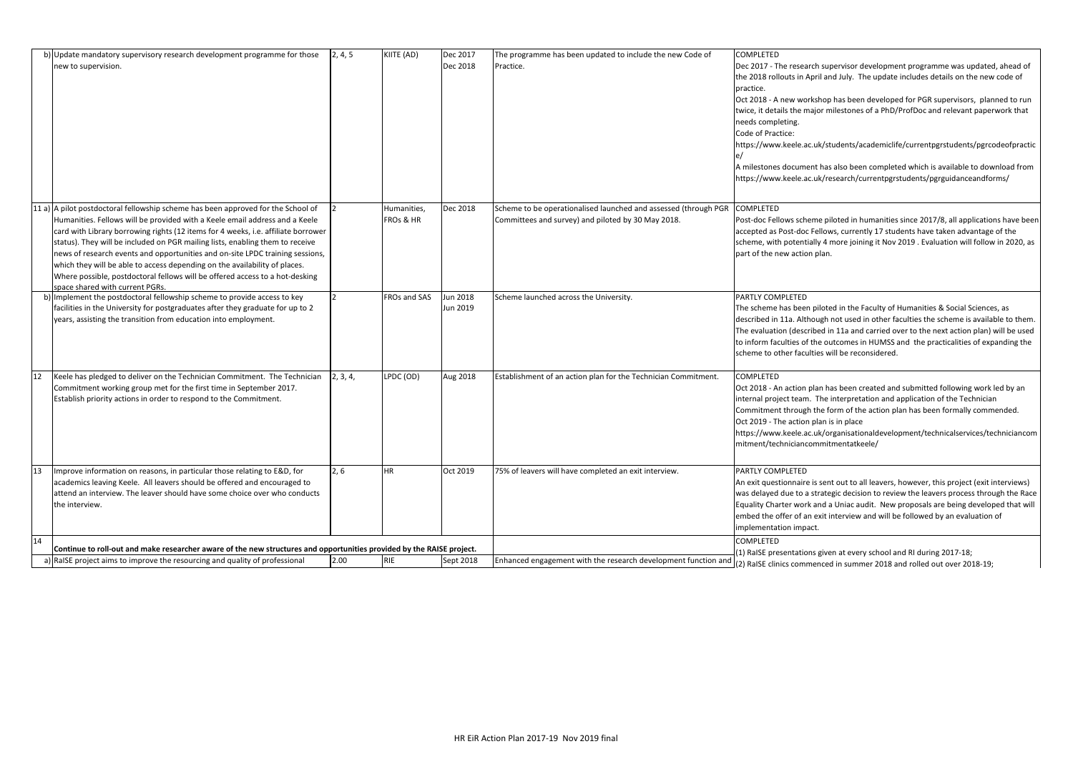|    | b) Update mandatory supervisory research development programme for those<br>new to supervision.                                                                                                                                                                                                                                                                                                                                                                                                                                                                                                                         | 2, 4, 5  | KIITE (AD)               | Dec 2017<br>Dec 2018        | The programme has been updated to include the new Code of<br>Practice.                                                | <b>COMPLETED</b><br>Dec 2017 - The resea<br>the 2018 rollouts in A<br>practice.<br>Oct 2018 - A new wor<br>twice, it details the m<br>needs completing.<br>Code of Practice:<br>https://www.keele.a<br>A milestones docume<br>https://www.keele.a |
|----|-------------------------------------------------------------------------------------------------------------------------------------------------------------------------------------------------------------------------------------------------------------------------------------------------------------------------------------------------------------------------------------------------------------------------------------------------------------------------------------------------------------------------------------------------------------------------------------------------------------------------|----------|--------------------------|-----------------------------|-----------------------------------------------------------------------------------------------------------------------|---------------------------------------------------------------------------------------------------------------------------------------------------------------------------------------------------------------------------------------------------|
|    | 11 a) A pilot postdoctoral fellowship scheme has been approved for the School of<br>Humanities. Fellows will be provided with a Keele email address and a Keele<br>card with Library borrowing rights (12 items for 4 weeks, i.e. affiliate borrower<br>status). They will be included on PGR mailing lists, enabling them to receive<br>news of research events and opportunities and on-site LPDC training sessions,<br>which they will be able to access depending on the availability of places.<br>Where possible, postdoctoral fellows will be offered access to a hot-desking<br>space shared with current PGRs. |          | Humanities,<br>FROs & HR | Dec 2018                    | Scheme to be operationalised launched and assessed (through PGR<br>Committees and survey) and piloted by 30 May 2018. | <b>COMPLETED</b><br>Post-doc Fellows sche<br>accepted as Post-doc<br>scheme, with potenti<br>part of the new actio                                                                                                                                |
|    | b) Implement the postdoctoral fellowship scheme to provide access to key<br>facilities in the University for postgraduates after they graduate for up to 2<br>years, assisting the transition from education into employment.                                                                                                                                                                                                                                                                                                                                                                                           |          | FROs and SAS             | <b>Jun 2018</b><br>Jun 2019 | Scheme launched across the University.                                                                                | PARTLY COMPLETED<br>The scheme has beer<br>described in 11a. Alth<br>The evaluation (descr<br>to inform faculties of<br>scheme to other facu                                                                                                      |
| 12 | Keele has pledged to deliver on the Technician Commitment. The Technician<br>Commitment working group met for the first time in September 2017.<br>Establish priority actions in order to respond to the Commitment.                                                                                                                                                                                                                                                                                                                                                                                                    | 2, 3, 4, | LPDC (OD)                | Aug 2018                    | Establishment of an action plan for the Technician Commitment.                                                        | COMPLETED<br>Oct 2018 - An action<br>internal project team<br>Commitment through<br>Oct 2019 - The action<br>https://www.keele.a<br>mitment/technicianc                                                                                           |
| 13 | Improve information on reasons, in particular those relating to E&D, for<br>academics leaving Keele. All leavers should be offered and encouraged to<br>attend an interview. The leaver should have some choice over who conducts<br>the interview.                                                                                                                                                                                                                                                                                                                                                                     | 2, 6     | <b>HR</b>                | Oct 2019                    | 75% of leavers will have completed an exit interview.                                                                 | PARTLY COMPLETED<br>An exit questionnaire<br>was delayed due to a<br><b>Equality Charter worl</b><br>embed the offer of a<br>implementation impa                                                                                                  |
| 14 | Continue to roll-out and make researcher aware of the new structures and opportunities provided by the RAISE project.                                                                                                                                                                                                                                                                                                                                                                                                                                                                                                   |          |                          |                             |                                                                                                                       | <b>COMPLETED</b>                                                                                                                                                                                                                                  |
|    | a) RaISE project aims to improve the resourcing and quality of professional                                                                                                                                                                                                                                                                                                                                                                                                                                                                                                                                             | 2.00     | <b>RIE</b>               | Sept 2018                   | Enhanced engagement with the research development function and                                                        | (1) RaISE presentatio<br>(2) RaISE clinics comr                                                                                                                                                                                                   |

arch supervisor development programme was updated, ahead of April and July. The update includes details on the new code of

orkshop has been developed for PGR supervisors, planned to run najor milestones of a PhD/ProfDoc and relevant paperwork that

ic.uk/students/academiclife/currentpgrstudents/pgrcodeofpractic

ent has also been completed which is available to download from https://www.keelere.ac.uk/research/currentpgrstudents/pgrguidanceandforms/

eme piloted in humanities since 2017/8, all applications have been c Fellows, currently 17 students have taken advantage of the ially 4 more joining it Nov 2019 . Evaluation will follow in 2020, as pan.

n piloted in the Faculty of Humanities & Social Sciences, as hough not used in other faculties the scheme is available to them. tribed in 11a and carried over to the next action plan) will be used f the outcomes in HUMSS and the practicalities of expanding the ulties will be reconsidered.

plan has been created and submitted following work led by an n. The interpretation and application of the Technician h the form of the action plan has been formally commended. n plan is in place ic.uk/organisationaldevelopment/technicalservices/techniciancom commitmentatkeele/

e is sent out to all leavers, however, this project (exit interviews) a strategic decision to review the leavers process through the Race k and a Uniac audit. New proposals are being developed that will In exit interview and will be followed by an evaluation of act.

ons given at every school and RI during 2017-18; menced in summer 2018 and rolled out over 2018-19;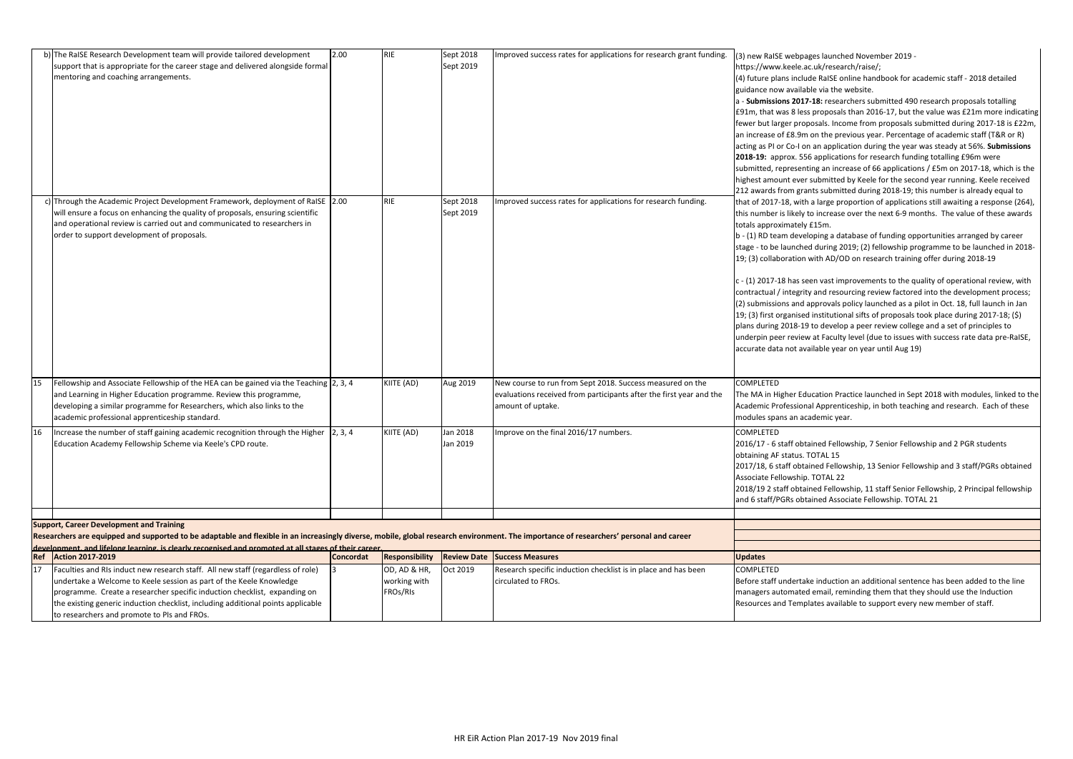|     | b) The RaISE Research Development team will provide tailored development                                                                                                                | 2.00             | <b>RIE</b>            | Sept 2018          | Improved success rates for applications for research grant funding. | (3) new RaISE webpa     |
|-----|-----------------------------------------------------------------------------------------------------------------------------------------------------------------------------------------|------------------|-----------------------|--------------------|---------------------------------------------------------------------|-------------------------|
|     | support that is appropriate for the career stage and delivered alongside formal                                                                                                         |                  |                       | Sept 2019          |                                                                     | https://www.keele.a     |
|     | mentoring and coaching arrangements.                                                                                                                                                    |                  |                       |                    |                                                                     | (4) future plans inclue |
|     |                                                                                                                                                                                         |                  |                       |                    |                                                                     | guidance now availab    |
|     |                                                                                                                                                                                         |                  |                       |                    |                                                                     | a - Submissions 2017    |
|     |                                                                                                                                                                                         |                  |                       |                    |                                                                     | £91m, that was 8 less   |
|     |                                                                                                                                                                                         |                  |                       |                    |                                                                     | fewer but larger prop   |
|     |                                                                                                                                                                                         |                  |                       |                    |                                                                     | an increase of £8.9m    |
|     |                                                                                                                                                                                         |                  |                       |                    |                                                                     | acting as PI or Co-I or |
|     |                                                                                                                                                                                         |                  |                       |                    |                                                                     | 2018-19: approx. 55     |
|     |                                                                                                                                                                                         |                  |                       |                    |                                                                     | submitted, represent    |
|     |                                                                                                                                                                                         |                  |                       |                    |                                                                     | highest amount ever     |
|     |                                                                                                                                                                                         |                  |                       |                    |                                                                     | 212 awards from grai    |
|     | c) Through the Academic Project Development Framework, deployment of RaISE 2.00                                                                                                         |                  | <b>RIE</b>            | Sept 2018          | Improved success rates for applications for research funding.       | that of 2017-18, with   |
|     | will ensure a focus on enhancing the quality of proposals, ensuring scientific                                                                                                          |                  |                       | Sept 2019          |                                                                     | this number is likely t |
|     | and operational review is carried out and communicated to researchers in                                                                                                                |                  |                       |                    |                                                                     | totals approximately    |
|     | order to support development of proposals.                                                                                                                                              |                  |                       |                    |                                                                     | b - (1) RD team devel   |
|     |                                                                                                                                                                                         |                  |                       |                    |                                                                     | stage - to be launche   |
|     |                                                                                                                                                                                         |                  |                       |                    |                                                                     | 19; (3) collaboration   |
|     |                                                                                                                                                                                         |                  |                       |                    |                                                                     |                         |
|     |                                                                                                                                                                                         |                  |                       |                    |                                                                     | c - (1) 2017-18 has se  |
|     |                                                                                                                                                                                         |                  |                       |                    |                                                                     | contractual / integrity |
|     |                                                                                                                                                                                         |                  |                       |                    |                                                                     | (2) submissions and a   |
|     |                                                                                                                                                                                         |                  |                       |                    |                                                                     | 19; (3) first organised |
|     |                                                                                                                                                                                         |                  |                       |                    |                                                                     | plans during 2018-19    |
|     |                                                                                                                                                                                         |                  |                       |                    |                                                                     | underpin peer review    |
|     |                                                                                                                                                                                         |                  |                       |                    |                                                                     | accurate data not ava   |
|     |                                                                                                                                                                                         |                  |                       |                    |                                                                     |                         |
|     |                                                                                                                                                                                         |                  |                       |                    |                                                                     |                         |
| 15  | Fellowship and Associate Fellowship of the HEA can be gained via the Teaching 2, 3, 4                                                                                                   |                  | KIITE (AD)            | Aug 2019           | New course to run from Sept 2018. Success measured on the           | COMPLETED               |
|     | and Learning in Higher Education programme. Review this programme,                                                                                                                      |                  |                       |                    | evaluations received from participants after the first year and the | The MA in Higher Edu    |
|     | developing a similar programme for Researchers, which also links to the                                                                                                                 |                  |                       |                    | amount of uptake.                                                   | Academic Profession     |
|     | academic professional apprenticeship standard.                                                                                                                                          |                  |                       |                    |                                                                     | modules spans an aca    |
| 16  | Increase the number of staff gaining academic recognition through the Higher                                                                                                            | 2, 3, 4          | KIITE (AD)            | Jan 2018           | Improve on the final 2016/17 numbers.                               | <b>COMPLETED</b>        |
|     | Education Academy Fellowship Scheme via Keele's CPD route.                                                                                                                              |                  |                       | Jan 2019           |                                                                     | 2016/17 - 6 staff obta  |
|     |                                                                                                                                                                                         |                  |                       |                    |                                                                     | obtaining AF status. 1  |
|     |                                                                                                                                                                                         |                  |                       |                    |                                                                     | 2017/18, 6 staff obta   |
|     |                                                                                                                                                                                         |                  |                       |                    |                                                                     | Associate Fellowship.   |
|     |                                                                                                                                                                                         |                  |                       |                    |                                                                     | 2018/19 2 staff obtai   |
|     |                                                                                                                                                                                         |                  |                       |                    |                                                                     | and 6 staff/PGRs obta   |
|     |                                                                                                                                                                                         |                  |                       |                    |                                                                     |                         |
|     | <b>Support, Career Development and Training</b>                                                                                                                                         |                  |                       |                    |                                                                     |                         |
|     | Researchers are equipped and supported to be adaptable and flexible in an increasingly diverse, mobile, global research environment. The importance of researchers' personal and career |                  |                       |                    |                                                                     |                         |
|     | development, and lifelong learning, is clearly recognised and promoted at all stages of their career.                                                                                   |                  |                       |                    |                                                                     |                         |
| Ref | <b>Action 2017-2019</b>                                                                                                                                                                 | <b>Concordat</b> | <b>Responsibility</b> | <b>Review Date</b> | <b>Success Measures</b>                                             | <b>Updates</b>          |
| 17  | Faculties and RIs induct new research staff. All new staff (regardless of role)                                                                                                         |                  | OD, AD & HR,          | Oct 2019           | Research specific induction checklist is in place and has been      | COMPLETED               |
|     | undertake a Welcome to Keele session as part of the Keele Knowledge                                                                                                                     |                  | working with          |                    | circulated to FROs.                                                 | Before staff undertak   |
|     | programme. Create a researcher specific induction checklist, expanding on                                                                                                               |                  | FROs/RIs              |                    |                                                                     | managers automated      |
|     | the existing generic induction checklist, including additional points applicable                                                                                                        |                  |                       |                    |                                                                     | Resources and Templ     |
|     | to researchers and promote to PIs and FROs.                                                                                                                                             |                  |                       |                    |                                                                     |                         |

ges launched November 2019 -

https://www.uk/research/raise/;

(4) ide RaISE online handbook for academic staff - 2018 detailed ble via the website.

7-18: researchers submitted 490 research proposals totalling s proposals than 2016-17, but the value was £21m more indicating posals. Income from proposals submitted during 2017-18 is £22m,  $\alpha$  on the previous year. Percentage of academic staff (T&R or R) an application during the year was steady at 56%. **Submissions**  $36$  applications for research funding totalling £96m were

ting an increase of 66 applications /  $£5m$  on 2017-18, which is the submitted by Keele for the second year running. Keele received 2112 ants submitted during 2018-19; this number is already equal to a large proportion of applications still awaiting a response (264), to increase over the next 6-9 months. The value of these awards  $f$ £15m.

loping a database of funding opportunities arranged by career ed during 2019; (2) fellowship programme to be launched in 2018with AD/OD on research training offer during 2018-19

een vast improvements to the quality of operational review, with ty and resourcing review factored into the development process; approvals policy launched as a pilot in Oct. 18, full launch in Jan I institutional sifts of proposals took place during 2017-18; (\$) If to develop a peer review college and a set of principles to w at Faculty level (due to issues with success rate data pre-RaISE, ailable year on year until Aug 19)

ucation Practice launched in Sept 2018 with modules, linked to the hal Apprenticeship, in both teaching and research. Each of these ademic year.

ained Fellowship, 7 Senior Fellowship and 2 PGR students TOTAL 15

ained Fellowship, 13 Senior Fellowship and 3 staff/PGRs obtained . TOTAL 22

ined Fellowship, 11 staff Senior Fellowship, 2 Principal fellowship ained Associate Fellowship. TOTAL 21

ke induction an additional sentence has been added to the line I email, reminding them that they should use the Induction lates available to support every new member of staff.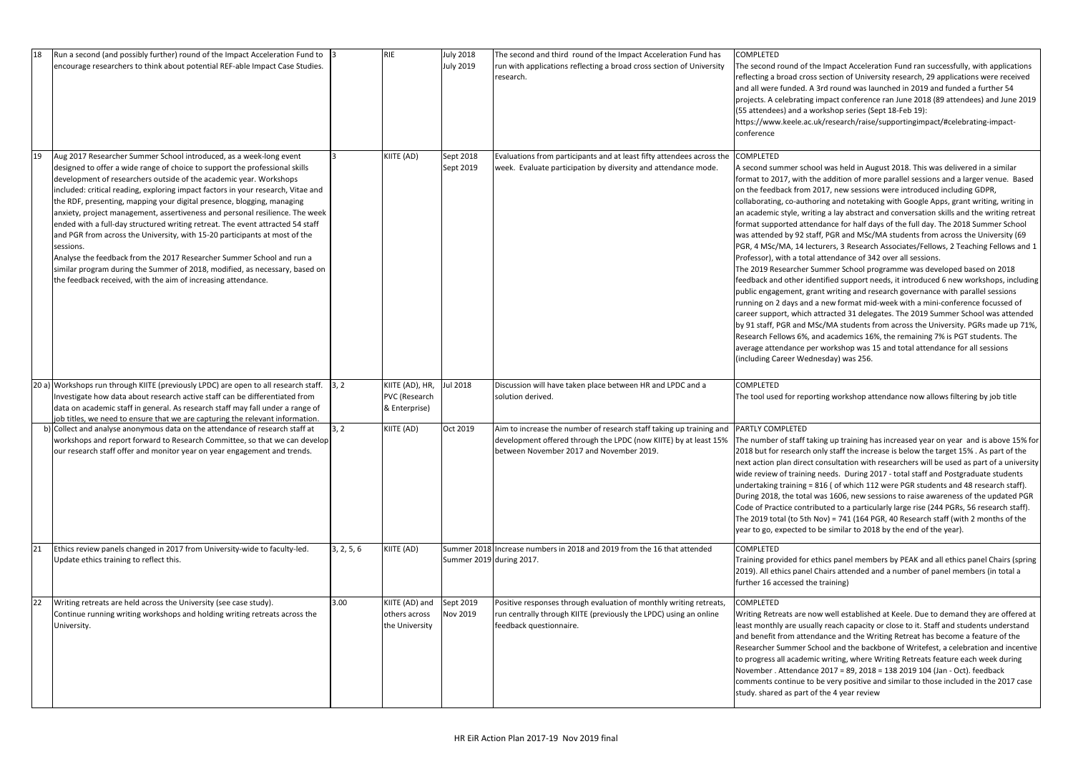| 18 | Run a second (and possibly further) round of the Impact Acceleration Fund to<br>encourage researchers to think about potential REF-able Impact Case Studies.                                                                                                                                                                                                                                                                                                                                                                                                                                                                                                                                                                                                                                                                                                                |            | <b>RIE</b>                                        | <b>July 2018</b><br><b>July 2019</b> | The second and third round of the Impact Acceleration Fund has<br>run with applications reflecting a broad cross section of University<br>research.                                                         | <b>COMPLETED</b><br>The second round of<br>reflecting a broad cro<br>and all were funded.<br>projects. A celebratin<br>(55 attendees) and a<br>https://www.keele.ao<br>conference                                                                                                                                                                                                                                                                                      |
|----|-----------------------------------------------------------------------------------------------------------------------------------------------------------------------------------------------------------------------------------------------------------------------------------------------------------------------------------------------------------------------------------------------------------------------------------------------------------------------------------------------------------------------------------------------------------------------------------------------------------------------------------------------------------------------------------------------------------------------------------------------------------------------------------------------------------------------------------------------------------------------------|------------|---------------------------------------------------|--------------------------------------|-------------------------------------------------------------------------------------------------------------------------------------------------------------------------------------------------------------|------------------------------------------------------------------------------------------------------------------------------------------------------------------------------------------------------------------------------------------------------------------------------------------------------------------------------------------------------------------------------------------------------------------------------------------------------------------------|
| 19 | Aug 2017 Researcher Summer School introduced, as a week-long event<br>designed to offer a wide range of choice to support the professional skills<br>development of researchers outside of the academic year. Workshops<br>included: critical reading, exploring impact factors in your research, Vitae and<br>the RDF, presenting, mapping your digital presence, blogging, managing<br>anxiety, project management, assertiveness and personal resilience. The week<br>ended with a full-day structured writing retreat. The event attracted 54 staff<br>and PGR from across the University, with 15-20 participants at most of the<br>sessions.<br>Analyse the feedback from the 2017 Researcher Summer School and run a<br>similar program during the Summer of 2018, modified, as necessary, based on<br>the feedback received, with the aim of increasing attendance. |            | KIITE (AD)                                        | Sept 2018<br>Sept 2019               | Evaluations from participants and at least fifty attendees across the<br>week. Evaluate participation by diversity and attendance mode.                                                                     | <b>COMPLETED</b><br>A second summer sch<br>format to 2017, with<br>on the feedback from<br>collaborating, co-autl<br>an academic style, wr<br>format supported att<br>was attended by 92 s<br>PGR, 4 MSc/MA, 14 k<br>Professor), with a tot<br>The 2019 Researcher<br>feedback and other id<br>public engagement, g<br>running on 2 days an<br>career support, which<br>by 91 staff, PGR and I<br>Research Fellows 6%,<br>average attendance p<br>(including Career We |
|    | 20 a) Workshops run through KIITE (previously LPDC) are open to all research staff.<br>Investigate how data about research active staff can be differentiated from<br>data on academic staff in general. As research staff may fall under a range of<br>job titles, we need to ensure that we are capturing the relevant information.                                                                                                                                                                                                                                                                                                                                                                                                                                                                                                                                       | 3, 2       | KIITE (AD), HR,<br>PVC (Research<br>& Enterprise) | <b>Jul 2018</b>                      | Discussion will have taken place between HR and LPDC and a<br>solution derived.                                                                                                                             | COMPLETED<br>The tool used for rep                                                                                                                                                                                                                                                                                                                                                                                                                                     |
|    | b) Collect and analyse anonymous data on the attendance of research staff at<br>workshops and report forward to Research Committee, so that we can develop<br>our research staff offer and monitor year on year engagement and trends.                                                                                                                                                                                                                                                                                                                                                                                                                                                                                                                                                                                                                                      | 3, 2       | KIITE (AD)                                        | Oct 2019                             | Aim to increase the number of research staff taking up training and<br>development offered through the LPDC (now KIITE) by at least 15%   The number of staff t<br>between November 2017 and November 2019. | <b>PARTLY COMPLETED</b><br>2018 but for research<br>next action plan dired<br>wide review of trainir<br>undertaking training<br>During 2018, the tota<br>Code of Practice cont<br>The 2019 total (to 5th<br>year to go, expected                                                                                                                                                                                                                                       |
| 21 | Ethics review panels changed in 2017 from University-wide to faculty-led.<br>Update ethics training to reflect this.                                                                                                                                                                                                                                                                                                                                                                                                                                                                                                                                                                                                                                                                                                                                                        | 3, 2, 5, 6 | KIITE (AD)                                        | Summer 2019 during 2017.             | Summer 2018 Increase numbers in 2018 and 2019 from the 16 that attended                                                                                                                                     | <b>COMPLETED</b><br>Training provided for<br>2019). All ethics pane<br>further 16 accessed t                                                                                                                                                                                                                                                                                                                                                                           |
| 22 | Writing retreats are held across the University (see case study).<br>Continue running writing workshops and holding writing retreats across the<br>University.                                                                                                                                                                                                                                                                                                                                                                                                                                                                                                                                                                                                                                                                                                              | 3.00       | KIITE (AD) and<br>others across<br>the University | Sept 2019<br>Nov 2019                | Positive responses through evaluation of monthly writing retreats,<br>run centrally through KIITE (previously the LPDC) using an online<br>feedback questionnaire.                                          | <b>COMPLETED</b><br>Writing Retreats are I<br>least monthly are usu<br>and benefit from atte<br>Researcher Summer !<br>to progress all acader<br>November . Attendar<br>comments continue t<br>study. shared as part                                                                                                                                                                                                                                                   |

the Impact Acceleration Fund ran successfully, with applications oss section of University research, 29 applications were received A 3rd round was launched in 2019 and funded a further 54 ng impact conference ran June 2018 (89 attendees) and June 2019 workshop series (Sept 18-Feb 19):

c.uk/research/raise/supportingimpact/#celebrating-impact-

hool was held in August 2018. This was delivered in a similar the addition of more parallel sessions and a larger venue. Based 12017, new sessions were introduced including GDPR,

horing and notetaking with Google Apps, grant writing, writing in riting a lay abstract and conversation skills and the writing retreat tendance for half days of the full day. The 2018 Summer School staff, PGR and MSc/MA students from across the University (69 lecturers, 3 Research Associates/Fellows, 2 Teaching Fellows and 1 tal attendance of 342 over all sessions.

r Summer School programme was developed based on 2018 dentified support needs, it introduced 6 new workshops, including grant writing and research governance with parallel sessions running on 2 days and a days a new focussed of h attracted 31 delegates. The 2019 Summer School was attended MSc/MA students from across the University. PGRs made up 71%, , and academics 16%, the remaining 7% is PGT students. The per workshop was 15 and total attendance for all sessions ednesday) was 256.

oorting workshop attendance now allows filtering by job title

taking up training has increased year on year and is above 15% for 1018 only staff the increase is below the target 15% . As part of the ct consultation with researchers will be used as part of a university ng needs. During 2017 - total staff and Postgraduate students  $= 816$  ( of which 112 were PGR students and 48 research staff). al was 1606, new sessions to raise awareness of the updated PGR tributed to a particularly large rise (244 PGRs, 56 research staff). h Nov) = 741 (164 PGR, 40 Research staff (with 2 months of the to be similar to 2018 by the end of the year).

ethics panel members by PEAK and all ethics panel Chairs (spring el Chairs attended and a number of panel members (in total a the training)

now well established at Keele. Due to demand they are offered at ually reach capacity or close to it. Staff and students understand endance and the Writing Retreat has become a feature of the School and the backbone of Writefest, a celebration and incentive mic writing, where Writing Retreats feature each week during nce 2017 = 89, 2018 = 138 2019 104 (Jan - Oct). feedback to be very positive and similar to those included in the 2017 case t of the 4 year review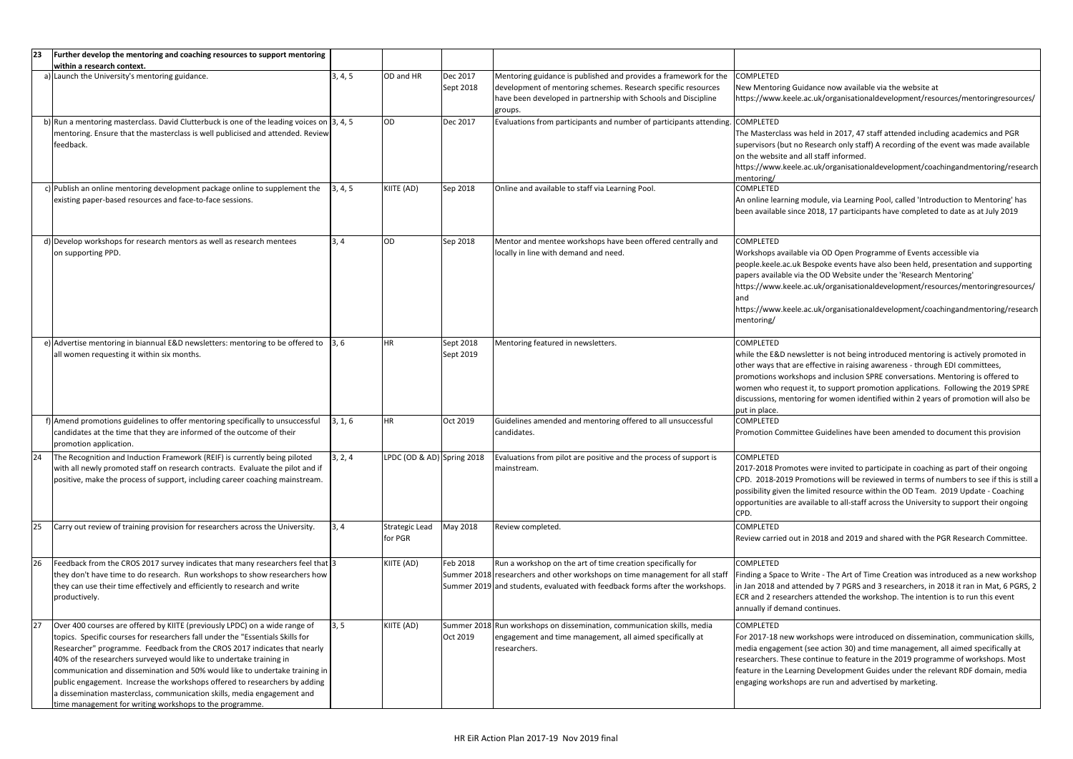| 23 | Further develop the mentoring and coaching resources to support mentoring                                                                                                                                                                                                                                                                                                                                                                                                                                                                                                                                          |         |                                  |                        |                                                                                                                                                                                                                             |                                                                                                                                                           |
|----|--------------------------------------------------------------------------------------------------------------------------------------------------------------------------------------------------------------------------------------------------------------------------------------------------------------------------------------------------------------------------------------------------------------------------------------------------------------------------------------------------------------------------------------------------------------------------------------------------------------------|---------|----------------------------------|------------------------|-----------------------------------------------------------------------------------------------------------------------------------------------------------------------------------------------------------------------------|-----------------------------------------------------------------------------------------------------------------------------------------------------------|
|    | within a research context.                                                                                                                                                                                                                                                                                                                                                                                                                                                                                                                                                                                         |         |                                  |                        |                                                                                                                                                                                                                             |                                                                                                                                                           |
|    | a) Launch the University's mentoring guidance.                                                                                                                                                                                                                                                                                                                                                                                                                                                                                                                                                                     | 3, 4, 5 | OD and HR                        | Dec 2017<br>Sept 2018  | Mentoring guidance is published and provides a framework for the<br>development of mentoring schemes. Research specific resources<br>have been developed in partnership with Schools and Discipline<br>groups.              | COMPLETED<br>New Mentoring Guida<br>https://www.keele.ac                                                                                                  |
|    | b) Run a mentoring masterclass. David Clutterbuck is one of the leading voices on $\vert$ 3, 4, 5<br>mentoring. Ensure that the masterclass is well publicised and attended. Review<br>feedback.                                                                                                                                                                                                                                                                                                                                                                                                                   |         | OD                               | Dec 2017               | Evaluations from participants and number of participants attending.                                                                                                                                                         | <b>COMPLETED</b><br>The Masterclass was I<br>supervisors (but no Ro<br>on the website and al<br>https://www.keele.ad<br>mentoring/                        |
|    | c) Publish an online mentoring development package online to supplement the<br>existing paper-based resources and face-to-face sessions.                                                                                                                                                                                                                                                                                                                                                                                                                                                                           | 3, 4, 5 | KIITE (AD)                       | Sep 2018               | Online and available to staff via Learning Pool.                                                                                                                                                                            | <b>COMPLETED</b><br>An online learning mo<br>been available since 2                                                                                       |
|    | d) Develop workshops for research mentors as well as research mentees<br>on supporting PPD.                                                                                                                                                                                                                                                                                                                                                                                                                                                                                                                        | 3, 4    | OD                               | Sep 2018               | Mentor and mentee workshops have been offered centrally and<br>locally in line with demand and need.                                                                                                                        | COMPLETED<br>Workshops available<br>people.keele.ac.uk Be<br>papers available via tl<br>https://www.keele.ad<br>and<br>https://www.keele.ac<br>mentoring/ |
|    | e) Advertise mentoring in biannual E&D newsletters: mentoring to be offered to<br>all women requesting it within six months.                                                                                                                                                                                                                                                                                                                                                                                                                                                                                       | 3, 6    | <b>HR</b>                        | Sept 2018<br>Sept 2019 | Mentoring featured in newsletters.                                                                                                                                                                                          | <b>COMPLETED</b><br>while the E&D newsle<br>other ways that are e<br>promotions workshop<br>women who request<br>discussions, mentorin<br>put in place.   |
|    | f) Amend promotions guidelines to offer mentoring specifically to unsuccessful<br>candidates at the time that they are informed of the outcome of their<br>promotion application.                                                                                                                                                                                                                                                                                                                                                                                                                                  | 3, 1, 6 | <b>HR</b>                        | Oct 2019               | Guidelines amended and mentoring offered to all unsuccessful<br>candidates.                                                                                                                                                 | <b>COMPLETED</b><br>Promotion Committe                                                                                                                    |
| 24 | The Recognition and Induction Framework (REIF) is currently being piloted<br>with all newly promoted staff on research contracts. Evaluate the pilot and if<br>positive, make the process of support, including career coaching mainstream.                                                                                                                                                                                                                                                                                                                                                                        | 3, 2, 4 | LPDC (OD & AD) Spring 2018       |                        | Evaluations from pilot are positive and the process of support is<br>mainstream.                                                                                                                                            | <b>COMPLETED</b><br>2017-2018 Promotes<br>CPD. 2018-2019 Pror<br>possibility given the li<br>opportunities are ava<br>CPD.                                |
| 25 | Carry out review of training provision for researchers across the University.                                                                                                                                                                                                                                                                                                                                                                                                                                                                                                                                      | 3, 4    | <b>Strategic Lead</b><br>for PGR | May 2018               | Review completed.                                                                                                                                                                                                           | <b>COMPLETED</b><br>Review carried out in                                                                                                                 |
| 26 | Feedback from the CROS 2017 survey indicates that many researchers feel that 3<br>they don't have time to do research. Run workshops to show researchers how<br>they can use their time effectively and efficiently to research and write<br>productively.                                                                                                                                                                                                                                                                                                                                                         |         | KIITE (AD)                       | Feb 2018               | Run a workshop on the art of time creation specifically for<br>Summer 2018 researchers and other workshops on time management for all staff<br>Summer 2019 and students, evaluated with feedback forms after the workshops. | COMPLETED<br>Finding a Space to Wr<br>in Jan 2018 and atten<br>ECR and 2 researcher<br>annually if demand co                                              |
| 27 | Over 400 courses are offered by KIITE (previously LPDC) on a wide range of<br>topics. Specific courses for researchers fall under the "Essentials Skills for<br>Researcher" programme. Feedback from the CROS 2017 indicates that nearly<br>40% of the researchers surveyed would like to undertake training in<br>communication and dissemination and 50% would like to undertake training in<br>public engagement. Increase the workshops offered to researchers by adding<br>a dissemination masterclass, communication skills, media engagement and<br>time management for writing workshops to the programme. | 3, 5    | KIITE (AD)                       | Oct 2019               | Summer 2018 Run workshops on dissemination, communication skills, media<br>engagement and time management, all aimed specifically at<br>researchers.                                                                        | COMPLETED<br>For 2017-18 new wor<br>media engagement (s<br>researchers. These co<br>feature in the Learnin<br>engaging workshops a                        |

ance now available via the website at .uk/organisationaldevelopment/resources/mentoringresources/

held in 2017, 47 staff attended including academics and PGR esearch only staff) A recording of the event was made available II staff informed.

.uk/organisationaldevelopment/coachingandmentoring/research

odule, via Learning Pool, called 'Introduction to Mentoring' has 2018, 17 participants have completed to date as at July 2019

via OD Open Programme of Events accessible via espoke events have also been held, presentation and supporting he OD Website under the 'Research Mentoring' .uk/organisationaldevelopment/resources/mentoringresources/

:.uk/organisationaldevelopment/coachingandmentoring/research

etter is not being introduced mentoring is actively promoted in effective in raising awareness - through EDI committees, ps and inclusion SPRE conversations. Mentoring is offered to it, to support promotion applications. Following the 2019 SPRE ng for women identified within 2 years of promotion will also be

e Guidelines have been amended to document this provision

were invited to participate in coaching as part of their ongoing motions will be reviewed in terms of numbers to see if this is still a imited resource within the OD Team. 2019 Update - Coaching illable to all-staff across the University to support their ongoing

Review 2018 and 2019 and shared with the PGR Research Committee.

rite - The Art of Time Creation was introduced as a new workshop nded by 7 PGRS and 3 researchers, in 2018 it ran in Mat, 6 PGRS, 2 rs attended the workshop. The intention is to run this event ontinues.

rkshops were introduced on dissemination, communication skills, see action 30) and time management, all aimed specifically at ontinue to feature in the 2019 programme of workshops. Most ng Development Guides under the relevant RDF domain, media are run and advertised by marketing.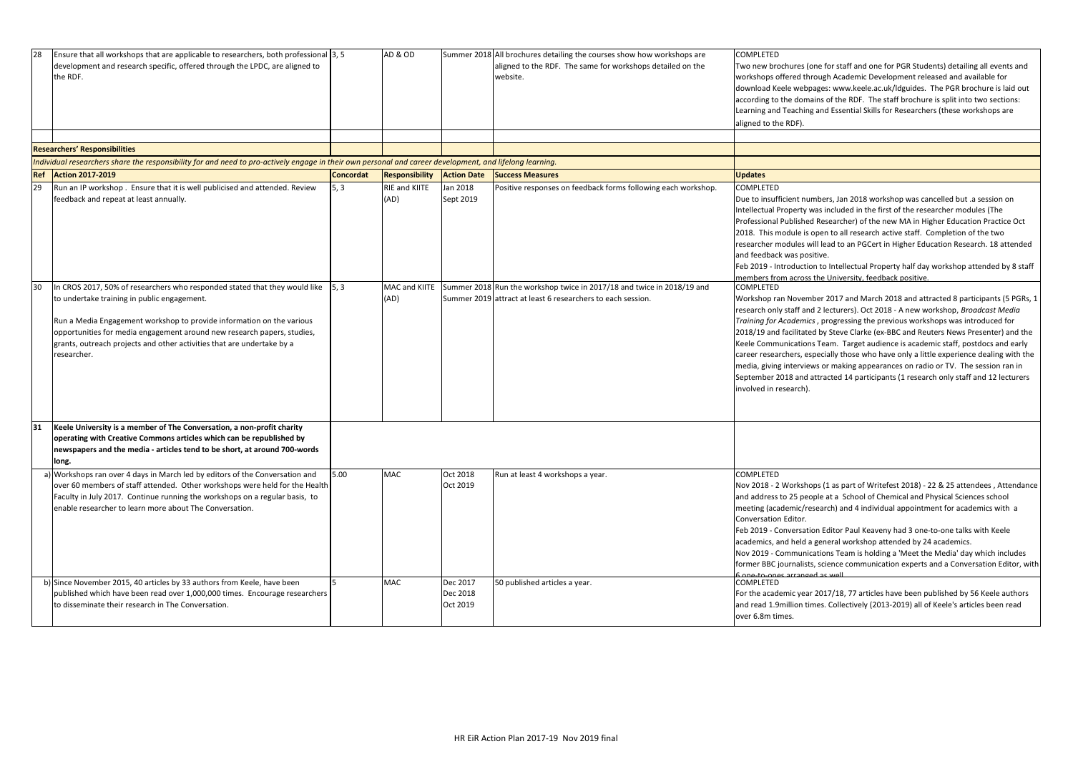| 28 | Ensure that all workshops that are applicable to researchers, both professional 3, 5<br>development and research specific, offered through the LPDC, are aligned to<br>the RDF.                                                                                                                                                                                                  |                    | AD & OD                      |                                  | Summer 2018 All brochures detailing the courses show how workshops are<br>aligned to the RDF. The same for workshops detailed on the<br>website. | <b>COMPLETED</b><br>Two new brochures (o<br>workshops offered th<br>download Keele webp<br>according to the doma<br>Learning and Teaching<br>aligned to the RDF).                                                                                        |
|----|----------------------------------------------------------------------------------------------------------------------------------------------------------------------------------------------------------------------------------------------------------------------------------------------------------------------------------------------------------------------------------|--------------------|------------------------------|----------------------------------|--------------------------------------------------------------------------------------------------------------------------------------------------|----------------------------------------------------------------------------------------------------------------------------------------------------------------------------------------------------------------------------------------------------------|
|    | <b>Researchers' Responsibilities</b>                                                                                                                                                                                                                                                                                                                                             |                    |                              |                                  |                                                                                                                                                  |                                                                                                                                                                                                                                                          |
|    | Individual researchers share the responsibility for and need to pro-actively engage in their own personal and career development, and lifelong learning.                                                                                                                                                                                                                         |                    |                              |                                  |                                                                                                                                                  |                                                                                                                                                                                                                                                          |
|    | <b>Ref Action 2017-2019</b>                                                                                                                                                                                                                                                                                                                                                      | <b>Concordat</b>   | <b>Responsibility</b>        | <b>Action Date</b>               | <b>Success Measures</b>                                                                                                                          | <b>Updates</b>                                                                                                                                                                                                                                           |
| 29 | Run an IP workshop. Ensure that it is well publicised and attended. Review<br>feedback and repeat at least annually.                                                                                                                                                                                                                                                             | 5, 3               | <b>RIE and KIITE</b><br>(AD) | Jan 2018<br>Sept 2019            | Positive responses on feedback forms following each workshop.                                                                                    | COMPLETED<br>Due to insufficient nu<br>Intellectual Property v<br>Professional Publisher<br>2018. This module is<br>researcher modules w<br>and feedback was pos<br>Feb 2019 - Introductio<br>members from across                                        |
| 30 | In CROS 2017, 50% of researchers who responded stated that they would like<br>to undertake training in public engagement.<br>Run a Media Engagement workshop to provide information on the various<br>opportunities for media engagement around new research papers, studies,<br>grants, outreach projects and other activities that are undertake by a<br>researcher.           | $\vert 5, 3 \vert$ | MAC and KIITE<br>(AD)        |                                  | Summer 2018 Run the workshop twice in 2017/18 and twice in 2018/19 and<br>Summer 2019 attract at least 6 researchers to each session.            | COMPLETED<br>Workshop ran Novem<br>research only staff an<br><b>Training for Academic</b><br>2018/19 and facilitate<br><b>Keele Communication</b><br>career researchers, es<br>media, giving intervie<br>September 2018 and<br>involved in research).    |
| 31 | Keele University is a member of The Conversation, a non-profit charity                                                                                                                                                                                                                                                                                                           |                    |                              |                                  |                                                                                                                                                  |                                                                                                                                                                                                                                                          |
|    | operating with Creative Commons articles which can be republished by<br>newspapers and the media - articles tend to be short, at around 700-words<br>long.                                                                                                                                                                                                                       |                    |                              |                                  |                                                                                                                                                  |                                                                                                                                                                                                                                                          |
|    | a) Workshops ran over 4 days in March led by editors of the Conversation and<br>over 60 members of staff attended. Other workshops were held for the Health<br>Faculty in July 2017. Continue running the workshops on a regular basis, to<br>enable researcher to learn more about The Conversation.<br>b) Since November 2015, 40 articles by 33 authors from Keele, have been | 5.00               | <b>MAC</b><br><b>MAC</b>     | Oct 2018<br>Oct 2019<br>Dec 2017 | Run at least 4 workshops a year.<br>50 published articles a year.                                                                                | COMPLETED<br>Nov 2018 - 2 Worksho<br>and address to 25 ped<br>meeting (academic/re<br>Conversation Editor.<br>Feb 2019 - Conversati<br>academics, and held a<br>Nov 2019 - Communio<br>former BBC journalist<br>Sang to ango arrange<br><b>COMPLETED</b> |
|    | published which have been read over 1,000,000 times. Encourage researchers<br>to disseminate their research in The Conversation.                                                                                                                                                                                                                                                 |                    |                              | Dec 2018<br>Oct 2019             |                                                                                                                                                  | For the academic year<br>and read 1.9million tir<br>over 6.8m times.                                                                                                                                                                                     |

(one for staff and one for PGR Students) detailing all events and hrough Academic Development released and available for pages: www.keele.ac.uk/ldguides. The PGR brochure is laid out nains of the RDF. The staff brochure is split into two sections: ng and Essential Skills for Researchers (these workshops are

umbers, Jan 2018 workshop was cancelled but .a session on Intellectual and was included in the first of the researcher modules (The ed Researcher) of the new MA in Higher Education Practice Oct s open to all research active staff. Completion of the two will lead to an PGCert in Higher Education Research. 18 attended psitive.

ion to Intellectual Property half day workshop attended by 8 staff ss the University, feedback positive.

mber 2017 and March 2018 and attracted 8 participants (5 PGRs, 1 nd 2 lecturers). Oct 2018 - A new workshop, *Broadcast Media ics*, progressing the previous workshops was introduced for ted by Steve Clarke (ex-BBC and Reuters News Presenter) and the Ins Team. Target audience is academic staff, postdocs and early especially those who have only a little experience dealing with the ews or making appearances on radio or TV. The session ran in d attracted 14 participants (1 research only staff and 12 lecturers

nops (1 as part of Writefest 2018) - 22 & 25 attendees , Attendance eople at a School of Chemical and Physical Sciences school research) and 4 individual appointment for academics with a

tion Editor Paul Keaveny had 3 one-to-one talks with Keele a general workshop attended by 24 academics.

ications Team is holding a 'Meet the Media' day which includes fts, science communication experts and a Conversation Editor, with d ac well.

ar 2017/18, 77 articles have been published by 56 Keele authors times. Collectively (2013-2019) all of Keele's articles been read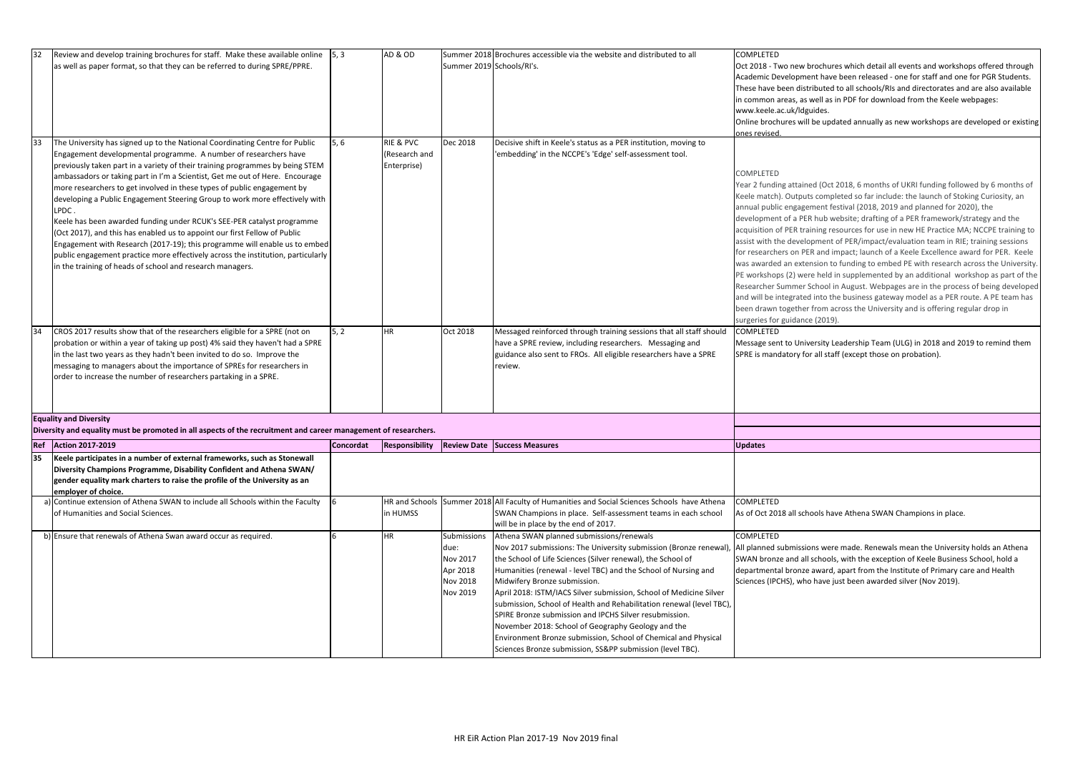| 32 | Review and develop training brochures for staff. Make these available online<br>as well as paper format, so that they can be referred to during SPRE/PPRE.                                                                                                                                                                                                                                                                                                                                                                                                                                                                                                                                                                                                                                                                                                                | $\vert 5, 3 \vert$ | AD & OD                                   | Summer 2019 Schools/RI's.                                                         | Summer 2018 Brochures accessible via the website and distributed to all                                                                                                                                                                                                                                                                                                                                                                                                                                                                                                                                                                                                    | <b>COMPLETED</b><br>Oct 2018 - Two new I<br>Academic Developm<br>These have been dist<br>in common areas, as<br>www.keele.ac.uk/ldg<br>Online brochures will                                                                                                                                                                                        |
|----|---------------------------------------------------------------------------------------------------------------------------------------------------------------------------------------------------------------------------------------------------------------------------------------------------------------------------------------------------------------------------------------------------------------------------------------------------------------------------------------------------------------------------------------------------------------------------------------------------------------------------------------------------------------------------------------------------------------------------------------------------------------------------------------------------------------------------------------------------------------------------|--------------------|-------------------------------------------|-----------------------------------------------------------------------------------|----------------------------------------------------------------------------------------------------------------------------------------------------------------------------------------------------------------------------------------------------------------------------------------------------------------------------------------------------------------------------------------------------------------------------------------------------------------------------------------------------------------------------------------------------------------------------------------------------------------------------------------------------------------------------|-----------------------------------------------------------------------------------------------------------------------------------------------------------------------------------------------------------------------------------------------------------------------------------------------------------------------------------------------------|
| 33 | The University has signed up to the National Coordinating Centre for Public<br>Engagement developmental programme. A number of researchers have<br>previously taken part in a variety of their training programmes by being STEM<br>ambassadors or taking part in I'm a Scientist, Get me out of Here. Encourage<br>more researchers to get involved in these types of public engagement by<br>developing a Public Engagement Steering Group to work more effectively with<br>LPDC.<br>Keele has been awarded funding under RCUK's SEE-PER catalyst programme<br>(Oct 2017), and this has enabled us to appoint our first Fellow of Public<br>Engagement with Research (2017-19); this programme will enable us to embed<br>public engagement practice more effectively across the institution, particularly<br>in the training of heads of school and research managers. | 5, 6               | RIE & PVC<br>(Research and<br>Enterprise) | Dec 2018                                                                          | Decisive shift in Keele's status as a PER institution, moving to<br>'embedding' in the NCCPE's 'Edge' self-assessment tool.                                                                                                                                                                                                                                                                                                                                                                                                                                                                                                                                                | ones revised.<br>COMPLETED<br>Year 2 funding attain<br>Keele match). Output<br>annual public engage<br>development of a PE<br>acquisition of PER tra<br>assist with the develo<br>for researchers on PE<br>was awarded an exte<br>PE workshops (2) we<br>Researcher Summer<br>and will be integrate<br>been drawn together<br>surgeries for guidanc |
| 34 | CROS 2017 results show that of the researchers eligible for a SPRE (not on<br>probation or within a year of taking up post) 4% said they haven't had a SPRE<br>in the last two years as they hadn't been invited to do so. Improve the<br>messaging to managers about the importance of SPREs for researchers in<br>order to increase the number of researchers partaking in a SPRE.                                                                                                                                                                                                                                                                                                                                                                                                                                                                                      | 5, 2               | HR                                        | Oct 2018                                                                          | Messaged reinforced through training sessions that all staff should<br>have a SPRE review, including researchers. Messaging and<br>guidance also sent to FROs. All eligible researchers have a SPRE<br>review.                                                                                                                                                                                                                                                                                                                                                                                                                                                             | <b>COMPLETED</b><br>Message sent to Univ<br>SPRE is mandatory fo                                                                                                                                                                                                                                                                                    |
|    | <b>Equality and Diversity</b><br>Diversity and equality must be promoted in all aspects of the recruitment and career management of researchers.                                                                                                                                                                                                                                                                                                                                                                                                                                                                                                                                                                                                                                                                                                                          |                    |                                           |                                                                                   |                                                                                                                                                                                                                                                                                                                                                                                                                                                                                                                                                                                                                                                                            |                                                                                                                                                                                                                                                                                                                                                     |
|    | <b>Ref</b> Action 2017-2019                                                                                                                                                                                                                                                                                                                                                                                                                                                                                                                                                                                                                                                                                                                                                                                                                                               | <b>Concordat</b>   |                                           |                                                                                   | <b>Responsibility Review Date Success Measures</b>                                                                                                                                                                                                                                                                                                                                                                                                                                                                                                                                                                                                                         | <b>Updates</b>                                                                                                                                                                                                                                                                                                                                      |
| 35 | Keele participates in a number of external frameworks, such as Stonewall<br>Diversity Champions Programme, Disability Confident and Athena SWAN/<br>gender equality mark charters to raise the profile of the University as an<br>employer of choice.                                                                                                                                                                                                                                                                                                                                                                                                                                                                                                                                                                                                                     |                    |                                           |                                                                                   |                                                                                                                                                                                                                                                                                                                                                                                                                                                                                                                                                                                                                                                                            |                                                                                                                                                                                                                                                                                                                                                     |
|    | a) Continue extension of Athena SWAN to include all Schools within the Faculty<br>of Humanities and Social Sciences.                                                                                                                                                                                                                                                                                                                                                                                                                                                                                                                                                                                                                                                                                                                                                      | 6                  | in HUMSS                                  |                                                                                   | HR and Schools Summer 2018 All Faculty of Humanities and Social Sciences Schools have Athena<br>SWAN Champions in place. Self-assessment teams in each school<br>will be in place by the end of 2017.                                                                                                                                                                                                                                                                                                                                                                                                                                                                      | <b>COMPLETED</b><br>As of Oct 2018 all sch                                                                                                                                                                                                                                                                                                          |
|    | b) Ensure that renewals of Athena Swan award occur as required.                                                                                                                                                                                                                                                                                                                                                                                                                                                                                                                                                                                                                                                                                                                                                                                                           |                    | HR                                        | Submissions<br>due:<br><b>Nov 2017</b><br>Apr 2018<br><b>Nov 2018</b><br>Nov 2019 | Athena SWAN planned submissions/renewals<br>Nov 2017 submissions: The University submission (Bronze renewal)<br>the School of Life Sciences (Silver renewal), the School of<br>Humanities (renewal - level TBC) and the School of Nursing and<br>Midwifery Bronze submission.<br>April 2018: ISTM/IACS Silver submission, School of Medicine Silver<br>submission, School of Health and Rehabilitation renewal (level TBC),<br>SPIRE Bronze submission and IPCHS Silver resubmission.<br>November 2018: School of Geography Geology and the<br>Environment Bronze submission, School of Chemical and Physical<br>Sciences Bronze submission, SS&PP submission (level TBC). | <b>COMPLETED</b><br>All planned submissio<br>SWAN bronze and all<br>departmental bronze<br>Sciences (IPCHS), wh                                                                                                                                                                                                                                     |

brochures which detail all events and workshops offered through ent have been released - one for staff and one for PGR Students. tributed to all schools/RIs and directorates and are also available i well as in PDF for download from the Keele webpages: guides.

I be updated annually as new workshops are developed or existing

ed (Oct 2018, 6 months of UKRI funding followed by 6 months of Its completed so far include: the launch of Stoking Curiosity, an ement festival (2018, 2019 and planned for 2020), the R hub website; drafting of a PER framework/strategy and the aining resources for use in new HE Practice MA; NCCPE training to opment of PER/impact/evaluation team in RIE; training sessions ER and impact; launch of a Keele Excellence award for PER. Keele ension to funding to embed PE with research across the University. Pre held in supplemented by an additional workshop as part of the School in August. Webpages are in the process of being developed d into the business gateway model as a PER route. A PE team has r from across the University and is offering regular drop in ce (2019).

versity Leadership Team (ULG) in 2018 and 2019 to remind them or all staff (except those on probation).

hools have Athena SWAN Champions in place.

ons were made. Renewals mean the University holds an Athena I schools, with the exception of Keele Business School, hold a e award, apart from the Institute of Primary care and Health o have just been awarded silver (Nov 2019).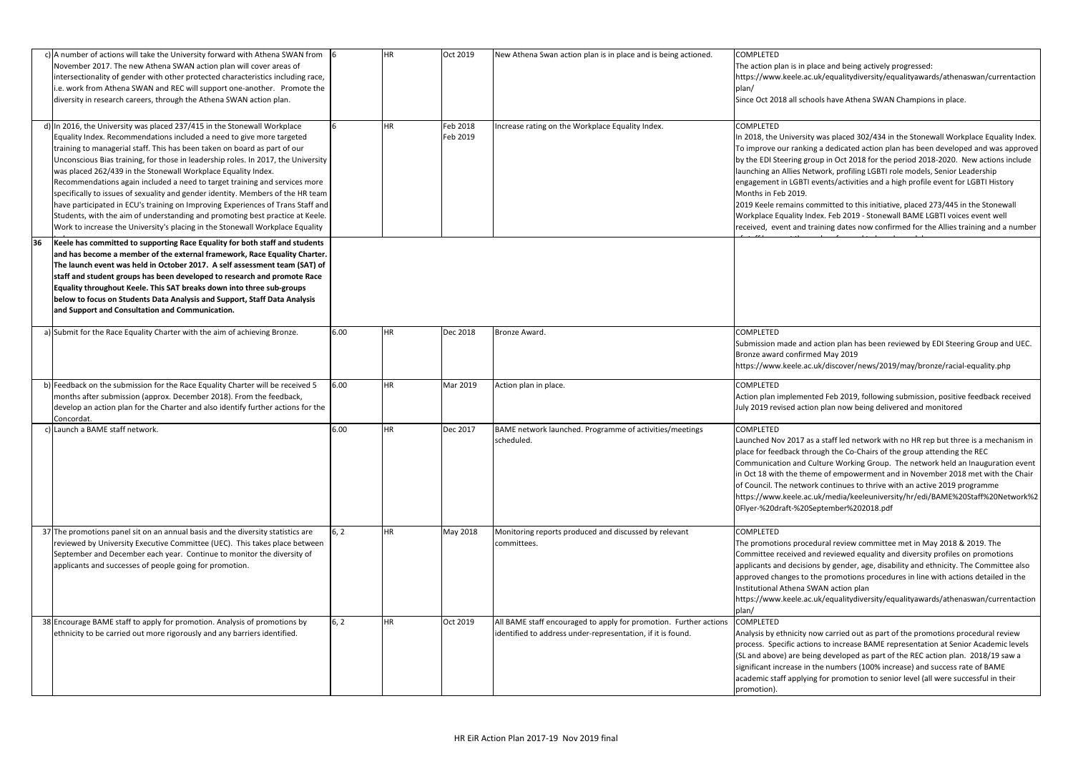|    | c) A number of actions will take the University forward with Athena SWAN from<br>November 2017. The new Athena SWAN action plan will cover areas of<br>intersectionality of gender with other protected characteristics including race,<br>i.e. work from Athena SWAN and REC will support one-another. Promote the<br>diversity in research careers, through the Athena SWAN action plan.                                                                                                                                                                                                                                                                                                                                                                                                                 | -16  | ΗR        | Oct 2019             | New Athena Swan action plan is in place and is being actioned.                                                                   | <b>COMPLETED</b><br>The action plan is in place and being actively progresse<br>https://www.keele.ac.uk/equalitydiversity/equalityaw<br>plan/<br>Since Oct 2018 all schools have Athena SWAN Champio                                                                                                                                                                                                                                                                                                                |
|----|------------------------------------------------------------------------------------------------------------------------------------------------------------------------------------------------------------------------------------------------------------------------------------------------------------------------------------------------------------------------------------------------------------------------------------------------------------------------------------------------------------------------------------------------------------------------------------------------------------------------------------------------------------------------------------------------------------------------------------------------------------------------------------------------------------|------|-----------|----------------------|----------------------------------------------------------------------------------------------------------------------------------|---------------------------------------------------------------------------------------------------------------------------------------------------------------------------------------------------------------------------------------------------------------------------------------------------------------------------------------------------------------------------------------------------------------------------------------------------------------------------------------------------------------------|
|    | d) In 2016, the University was placed 237/415 in the Stonewall Workplace<br>Equality Index. Recommendations included a need to give more targeted<br>training to managerial staff. This has been taken on board as part of our<br>Unconscious Bias training, for those in leadership roles. In 2017, the University<br>was placed 262/439 in the Stonewall Workplace Equality Index.<br>Recommendations again included a need to target training and services more<br>specifically to issues of sexuality and gender identity. Members of the HR team<br>have participated in ECU's training on Improving Experiences of Trans Staff and<br>Students, with the aim of understanding and promoting best practice at Keele.<br>Work to increase the University's placing in the Stonewall Workplace Equality |      | HR        | Feb 2018<br>Feb 2019 | ncrease rating on the Workplace Equality Index.                                                                                  | <b>COMPLETED</b><br>In 2018, the University was placed 302/434 in the Ston<br>To improve our ranking a dedicated action plan has be<br>by the EDI Steering group in Oct 2018 for the period 20<br>launching an Allies Network, profiling LGBTI role mode<br>engagement in LGBTI events/activities and a high profi<br>Months in Feb 2019.<br>2019 Keele remains committed to this initiative, placed<br>Workplace Equality Index. Feb 2019 - Stonewall BAME<br>received, event and training dates now confirmed for |
| 36 | Keele has committed to supporting Race Equality for both staff and students<br>and has become a member of the external framework, Race Equality Charter.<br>The launch event was held in October 2017. A self assessment team (SAT) of<br>staff and student groups has been developed to research and promote Race<br>Equality throughout Keele. This SAT breaks down into three sub-groups<br>below to focus on Students Data Analysis and Support, Staff Data Analysis<br>and Support and Consultation and Communication.                                                                                                                                                                                                                                                                                |      |           |                      |                                                                                                                                  |                                                                                                                                                                                                                                                                                                                                                                                                                                                                                                                     |
|    | a) Submit for the Race Equality Charter with the aim of achieving Bronze.                                                                                                                                                                                                                                                                                                                                                                                                                                                                                                                                                                                                                                                                                                                                  | 6.00 | HR        | Dec 2018             | Bronze Award.                                                                                                                    | <b>COMPLETED</b><br>Submission made and action plan has been reviewed b<br>Bronze award confirmed May 2019<br>https://www.keele.ac.uk/discover/news/2019/may/br                                                                                                                                                                                                                                                                                                                                                     |
|    | b) Feedback on the submission for the Race Equality Charter will be received 5<br>months after submission (approx. December 2018). From the feedback,<br>develop an action plan for the Charter and also identify further actions for the<br>Concordat.                                                                                                                                                                                                                                                                                                                                                                                                                                                                                                                                                    | 6.00 | HR        | Mar 2019             | Action plan in place.                                                                                                            | <b>COMPLETED</b><br>Action plan implemented Feb 2019, following submissi<br>July 2019 revised action plan now being delivered and                                                                                                                                                                                                                                                                                                                                                                                   |
|    | Launch a BAME staff network.                                                                                                                                                                                                                                                                                                                                                                                                                                                                                                                                                                                                                                                                                                                                                                               | 6.00 | <b>HR</b> | Dec 2017             | BAME network launched. Programme of activities/meetings<br>scheduled.                                                            | <b>COMPLETED</b><br>Launched Nov 2017 as a staff led network with no HR<br>place for feedback through the Co-Chairs of the group<br>Communication and Culture Working Group. The netv<br>in Oct 18 with the theme of empowerment and in Nov<br>of Council. The network continues to thrive with an act<br>https://www.keele.ac.uk/media/keeleuniversity/hr/ec<br>OFlyer-%20draft-%20September%202018.pdf                                                                                                            |
|    | 37 The promotions panel sit on an annual basis and the diversity statistics are<br>reviewed by University Executive Committee (UEC). This takes place between<br>September and December each year. Continue to monitor the diversity of<br>applicants and successes of people going for promotion.                                                                                                                                                                                                                                                                                                                                                                                                                                                                                                         | 6, 2 | <b>HR</b> | May 2018             | Monitoring reports produced and discussed by relevant<br>committees.                                                             | <b>COMPLETED</b><br>The promotions procedural review committee met in I<br>Committee received and reviewed equality and diversi<br>applicants and decisions by gender, age, disability and<br>approved changes to the promotions procedures in lin<br>Institutional Athena SWAN action plan<br>https://www.keele.ac.uk/equalitydiversity/equalityaw<br>plan/                                                                                                                                                        |
|    | 38 Encourage BAME staff to apply for promotion. Analysis of promotions by<br>ethnicity to be carried out more rigorously and any barriers identified.                                                                                                                                                                                                                                                                                                                                                                                                                                                                                                                                                                                                                                                      | 6, 2 | ΗR        | Oct 2019             | All BAME staff encouraged to apply for promotion. Further actions<br>identified to address under-representation, if it is found. | <b>COMPLETED</b><br>Analysis by ethnicity now carried out as part of the pro<br>process. Specific actions to increase BAME representa<br>(SL and above) are being developed as part of the REC<br>significant increase in the numbers (100% increase) an<br>academic staff applying for promotion to senior level (<br>promotion).                                                                                                                                                                                  |

place and being actively progressed: ic.uk/equalitydiversity/equalityawards/athenaswan/currentaction

hools have Athena SWAN Champions in place.

Ity was placed 302/434 in the Stonewall Workplace Equality Index. ing a dedicated action plan has been developed and was approved group in Oct 2018 for the period 2018-2020. New actions include letwork, profiling LGBTI role models, Senior Leadership I events/activities and a high profile event for LGBTI History

committed to this initiative, placed 273/445 in the Stonewall Index. Feb 2019 - Stonewall BAME LGBTI voices event well training dates now confirmed for the Allies training and a number

Id action plan has been reviewed by EDI Steering Group and UEC. med May 2019

ic.uk/discover/news/2019/may/bronze/racial-equality.php

nted Feb 2019, following submission, positive feedback received tion plan now being delivered and monitored

as a staff led network with no HR rep but three is a mechanism in prough the Co-Chairs of the group attending the REC Culture Working Group. The network held an Inauguration event eme of empowerment and in November 2018 met with the Chair ork continues to thrive with an active 2019 programme ic.uk/media/keeleuniversity/hr/edi/BAME%20Staff%20Network%2 0September%202018.pdf

cedural review committee met in May 2018 & 2019. The and reviewed equality and diversity profiles on promotions ions by gender, age, disability and ethnicity. The Committee also the promotions procedures in line with actions detailed in the SWAN action plan

https://www.kequalitydiversity/equalityawards/athenaswan/currentaction

now carried out as part of the promotions procedural review ions to increase BAME representation at Senior Academic levels eing developed as part of the REC action plan. 2018/19 saw a n the numbers (100% increase) and success rate of BAME ing for promotion to senior level (all were successful in their